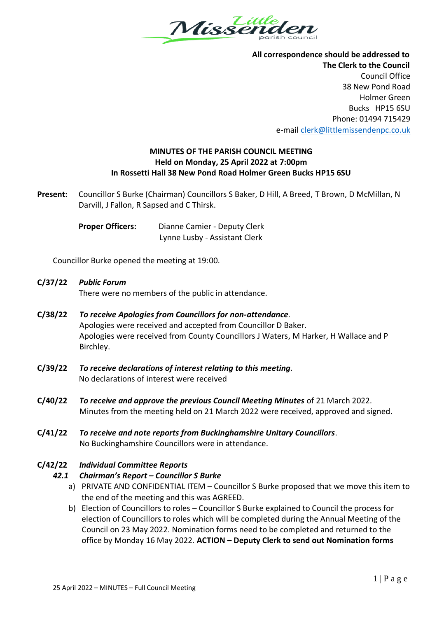

 **All correspondence should be addressed to The Clerk to the Council** Council Office 38 New Pond Road Holmer Green Bucks HP15 6SU Phone: 01494 715429 e-mai[l clerk@littlemissendenpc.co.uk](mailto:clerk@littlemissendenpc.co.uk)

### **MINUTES OF THE PARISH COUNCIL MEETING Held on Monday, 25 April 2022 at 7:00pm In Rossetti Hall 38 New Pond Road Holmer Green Bucks HP15 6SU**

**Present:** Councillor S Burke (Chairman) Councillors S Baker, D Hill, A Breed, T Brown, D McMillan, N Darvill, J Fallon, R Sapsed and C Thirsk.

> **Proper Officers:** Dianne Camier - Deputy Clerk Lynne Lusby - Assistant Clerk

Councillor Burke opened the meeting at 19:00.

# **C/37/22** *Public Forum* There were no members of the public in attendance.

- **C/38/22** *To receive Apologies from Councillors for non-attendance.* Apologies were received and accepted from Councillor D Baker. Apologies were received from County Councillors J Waters, M Harker, H Wallace and P Birchley.
- **C/39/22** *To receive declarations of interest relating to this meeting.*  No declarations of interest were received
- **C/40/22** *To receive and approve the previous Council Meeting Minutes* of 21 March 2022. Minutes from the meeting held on 21 March 2022 were received, approved and signed.
- **C/41/22** *To receive and note reports from Buckinghamshire Unitary Councillors*. No Buckinghamshire Councillors were in attendance.

# **C/42/22** *Individual Committee Reports*

# *42.1 Chairman's Report – Councillor S Burke*

- a) PRIVATE AND CONFIDENTIAL ITEM Councillor S Burke proposed that we move this item to the end of the meeting and this was AGREED.
- b) Election of Councillors to roles Councillor S Burke explained to Council the process for election of Councillors to roles which will be completed during the Annual Meeting of the Council on 23 May 2022. Nomination forms need to be completed and returned to the office by Monday 16 May 2022. **ACTION – Deputy Clerk to send out Nomination forms**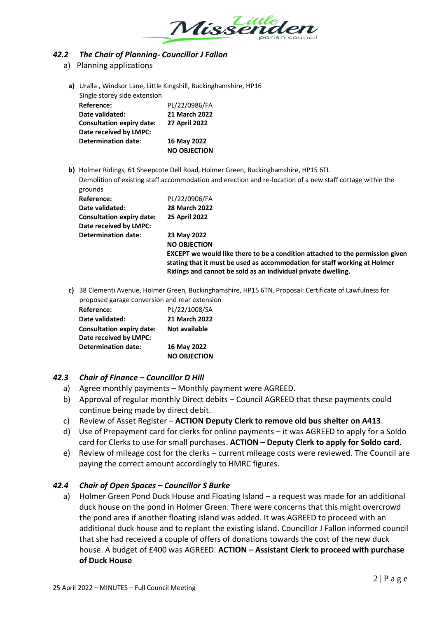

#### *42.2 The Chair of Planning- Councillor J Fallon*

- a) Planning applications
	- **a)** Uralla , Windsor Lane, Little Kingshill, Buckinghamshire, HP16 Single storey side extension **Reference:** PL/22/0986/FA **Date validated: 21 March 2022 Consultation expiry date: 27 April 2022**

| Date received by LMPC: |                     |
|------------------------|---------------------|
| Determination date:    | 16 May 2022         |
|                        | <b>NO OBJECTION</b> |

**b)** Holmer Ridings, 61 Sheepcote Dell Road, Holmer Green, Buckinghamshire, HP15 6TL Demolition of existing staff accommodation and erection and re-location of a new staff cottage within the grounds

| Reference:                       | PL/22/0906/FA                                                                                                                                                                                                               |
|----------------------------------|-----------------------------------------------------------------------------------------------------------------------------------------------------------------------------------------------------------------------------|
| Date validated:                  | 28 March 2022                                                                                                                                                                                                               |
| <b>Consultation expiry date:</b> | <b>25 April 2022</b>                                                                                                                                                                                                        |
| Date received by LMPC:           |                                                                                                                                                                                                                             |
| <b>Determination date:</b>       | 23 May 2022                                                                                                                                                                                                                 |
|                                  | <b>NO OBJECTION</b>                                                                                                                                                                                                         |
|                                  | EXCEPT we would like there to be a condition attached to the permission given<br>stating that it must be used as accommodation for staff working at Holmer<br>Ridings and cannot be sold as an individual private dwelling. |
|                                  |                                                                                                                                                                                                                             |

**c)** 38 Clementi Avenue, Holmer Green, Buckinghamshire, HP15 6TN, Proposal: Certificate of Lawfulness for proposed garage conversion and rear extension

| Reference:                       | PL/22/1008/SA       |
|----------------------------------|---------------------|
| Date validated:                  | 21 March 2022       |
| <b>Consultation expiry date:</b> | Not available       |
| Date received by LMPC:           |                     |
| <b>Determination date:</b>       | 16 May 2022         |
|                                  | <b>NO OBJECTION</b> |

# *42.3 Chair of Finance – Councillor D Hill*

- a) Agree monthly payments Monthly payment were AGREED.
- b) Approval of regular monthly Direct debits Council AGREED that these payments could continue being made by direct debit.
- c) Review of Asset Register **ACTION Deputy Clerk to remove old bus shelter on A413**.
- d) Use of Prepayment card for clerks for online payments it was AGREED to apply for a Soldo card for Clerks to use for small purchases. **ACTION – Deputy Clerk to apply for Soldo card**.
- e) Review of mileage cost for the clerks current mileage costs were reviewed. The Council are paying the correct amount accordingly to HMRC figures.

# *42.4 Chair of Open Spaces – Councillor S Burke*

a) Holmer Green Pond Duck House and Floating Island – a request was made for an additional duck house on the pond in Holmer Green. There were concerns that this might overcrowd the pond area if another floating island was added. It was AGREED to proceed with an additional duck house and to replant the existing island. Councillor J Fallon informed council that she had received a couple of offers of donations towards the cost of the new duck house. A budget of £400 was AGREED. **ACTION – Assistant Clerk to proceed with purchase of Duck House**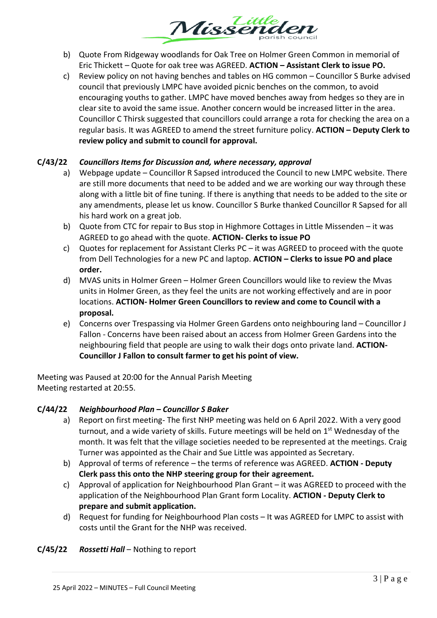

- b) Quote From Ridgeway woodlands for Oak Tree on Holmer Green Common in memorial of Eric Thickett – Quote for oak tree was AGREED. **ACTION – Assistant Clerk to issue PO.**
- c) Review policy on not having benches and tables on HG common Councillor S Burke advised council that previously LMPC have avoided picnic benches on the common, to avoid encouraging youths to gather. LMPC have moved benches away from hedges so they are in clear site to avoid the same issue. Another concern would be increased litter in the area. Councillor C Thirsk suggested that councillors could arrange a rota for checking the area on a regular basis. It was AGREED to amend the street furniture policy. **ACTION – Deputy Clerk to review policy and submit to council for approval.**

### **C/43/22** *Councillors Items for Discussion and, where necessary, approval*

- a) Webpage update Councillor R Sapsed introduced the Council to new LMPC website. There are still more documents that need to be added and we are working our way through these along with a little bit of fine tuning. If there is anything that needs to be added to the site or any amendments, please let us know. Councillor S Burke thanked Councillor R Sapsed for all his hard work on a great job.
- b) Quote from CTC for repair to Bus stop in Highmore Cottages in Little Missenden it was AGREED to go ahead with the quote. **ACTION- Clerks to issue PO**
- c) Quotes for replacement for Assistant Clerks PC it was AGREED to proceed with the quote from Dell Technologies for a new PC and laptop. **ACTION – Clerks to issue PO and place order.**
- d) MVAS units in Holmer Green Holmer Green Councillors would like to review the Mvas units in Holmer Green, as they feel the units are not working effectively and are in poor locations. **ACTION- Holmer Green Councillors to review and come to Council with a proposal.**
- e) Concerns over Trespassing via Holmer Green Gardens onto neighbouring land Councillor J Fallon - Concerns have been raised about an access from Holmer Green Gardens into the neighbouring field that people are using to walk their dogs onto private land. **ACTION-Councillor J Fallon to consult farmer to get his point of view.**

Meeting was Paused at 20:00 for the Annual Parish Meeting Meeting restarted at 20:55.

#### **C/44/22** *Neighbourhood Plan – Councillor S Baker*

- a) Report on first meeting- The first NHP meeting was held on 6 April 2022. With a very good turnout, and a wide variety of skills. Future meetings will be held on 1<sup>st</sup> Wednesday of the month. It was felt that the village societies needed to be represented at the meetings. Craig Turner was appointed as the Chair and Sue Little was appointed as Secretary.
- b) Approval of terms of reference the terms of reference was AGREED. **ACTION - Deputy Clerk pass this onto the NHP steering group for their agreement.**
- c) Approval of application for Neighbourhood Plan Grant it was AGREED to proceed with the application of the Neighbourhood Plan Grant form Locality. **ACTION - Deputy Clerk to prepare and submit application.**
- d) Request for funding for Neighbourhood Plan costs It was AGREED for LMPC to assist with costs until the Grant for the NHP was received.

#### **C/45/22** *Rossetti Hall* – Nothing to report